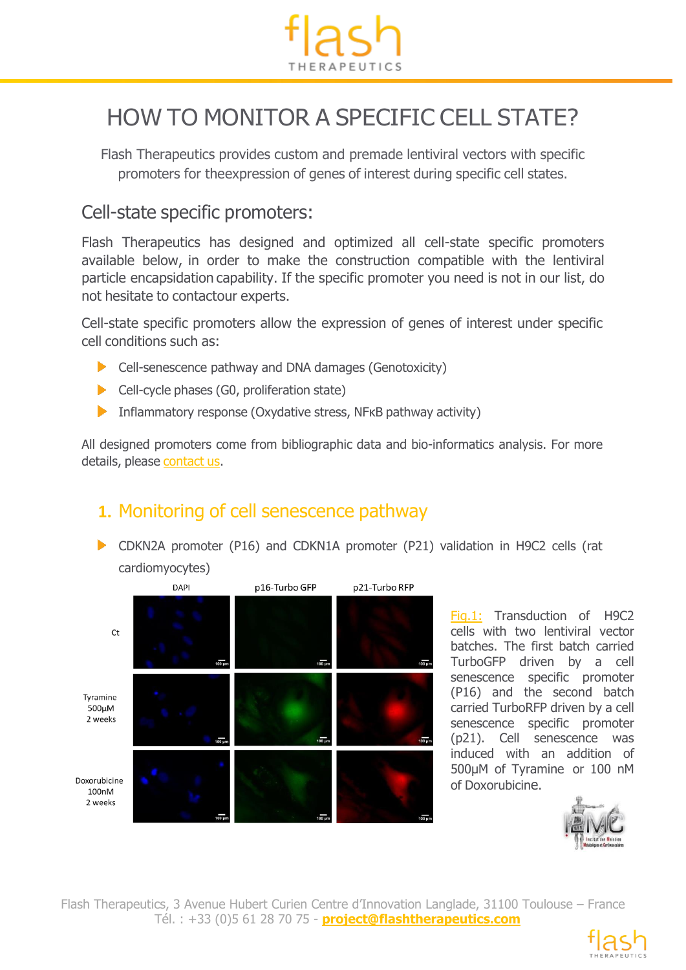

# HOW TO MONITOR A SPECIFIC CELL STATE?

Flash Therapeutics provides custom and premade lentiviral vectors with specific promoters for theexpression of genes of interest during specific cell states.

#### Cell-state specific promoters:

Flash Therapeutics has designed and optimized all cell-state specific promoters available below, in order to make the construction compatible with the lentiviral particle encapsidation capability. If the specific promoter you need is not in our list, do not hesitate to contactour experts.

Cell-state specific promoters allow the expression of genes of interest under specific cell conditions such as:

- **Cell-senescence pathway and DNA damages (Genotoxicity)**
- Cell-cycle phases (G0, proliferation state)
- Inflammatory response (Oxydative stress,  $N$ FKB pathway activity)

All designed promoters come from bibliographic data and bio-informatics analysis. For more details, please [contact](https://www.vectalys.com/web/vectalys/49-get-a-quote.php) us.

## **1.** Monitoring of cell senescence pathway

CDKN2A promoter (P16) and CDKN1A promoter (P21) validation in H9C2 cells (rat cardiomyocytes)



Fig.1: Transduction of H9C2 cells with two lentiviral vector batches. The first batch carried TurboGFP driven by a cell senescence specific promoter (P16) and the second batch carried TurboRFP driven by a cell senescence specific promoter (p21). Cell senescence was induced with an addition of 500µM of Tyramine or 100 nM of Doxorubicine.



Flash Therapeutics, 3 Avenue Hubert Curien Centre d'Innovation Langlade, 31100 Toulouse – France Tél. : +33 (0)5 61 28 70 75 - **project@flashtherapeutics.com**

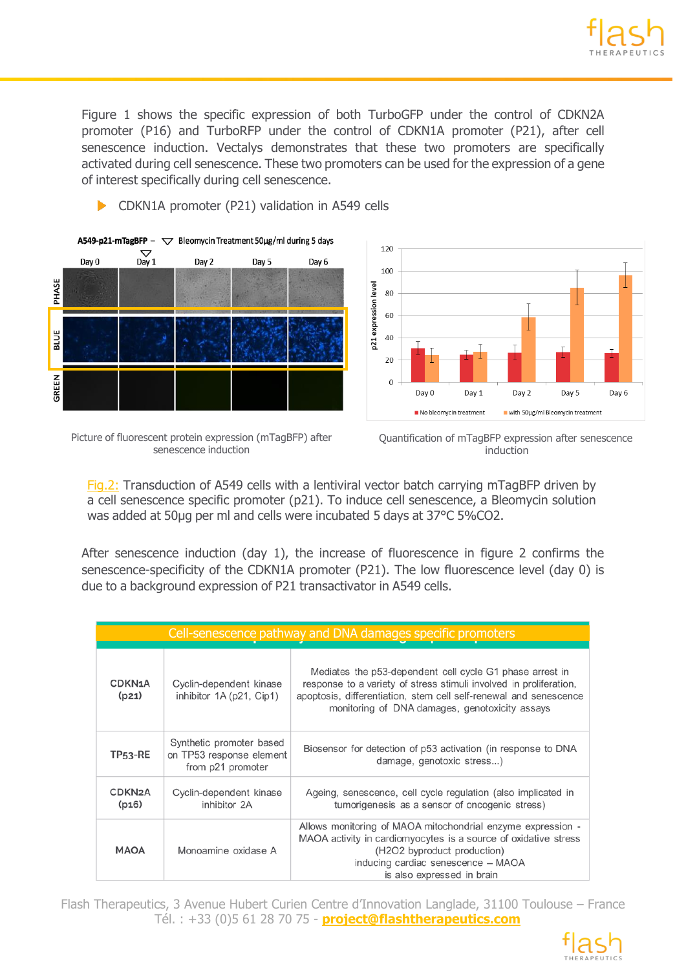Figure 1 shows the specific expression of both TurboGFP under the control of CDKN2A promoter (P16) and TurboRFP under the control of CDKN1A promoter (P21), after cell senescence induction. Vectalys demonstrates that these two promoters are specifically activated during cell senescence. These two promoters can be used for the expression of a gene of interest specifically during cell senescence.







Picture of fluorescent protein expression (mTagBFP) after senescence induction



Fig.2: Transduction of A549 cells with a lentiviral vector batch carrying mTagBFP driven by a cell senescence specific promoter (p21). To induce cell senescence, a Bleomycin solution was added at 50µg per ml and cells were incubated 5 days at 37°C 5%CO2.

After senescence induction (day 1), the increase of fluorescence in figure 2 confirms the senescence-specificity of the CDKN1A promoter (P21). The low fluorescence level (day 0) is due to a background expression of P21 transactivator in A549 cells.

| Cell-senescence pathway and DNA damages specific promoters |                                                                           |                                                                                                                                                                                                                                                       |  |
|------------------------------------------------------------|---------------------------------------------------------------------------|-------------------------------------------------------------------------------------------------------------------------------------------------------------------------------------------------------------------------------------------------------|--|
| CDKN1A<br>(p21)                                            | Cyclin-dependent kinase<br>inhibitor 1A (p21, Cip1)                       | Mediates the p53-dependent cell cycle G1 phase arrest in<br>response to a variety of stress stimuli involved in proliferation,<br>apoptosis, differentiation, stem cell self-renewal and senescence<br>monitoring of DNA damages, genotoxicity assays |  |
| <b>TP53-RE</b>                                             | Synthetic promoter based<br>on TP53 response element<br>from p21 promoter | Biosensor for detection of p53 activation (in response to DNA<br>damage, genotoxic stress)                                                                                                                                                            |  |
| CDKN <sub>2</sub> A<br>(p16)                               | Cyclin-dependent kinase<br>inhibitor 2A                                   | Ageing, senescence, cell cycle regulation (also implicated in<br>tumorigenesis as a sensor of oncogenic stress)                                                                                                                                       |  |
| <b>MAOA</b>                                                | Monoamine oxidase A                                                       | Allows monitoring of MAOA mitochondrial enzyme expression -<br>MAOA activity in cardiomyocytes is a source of oxidative stress<br>(H2O2 byproduct production)<br>inducing cardiac senescence - MAOA<br>is also expressed in brain                     |  |

Flash Therapeutics, 3 Avenue Hubert Curien Centre d'Innovation Langlade, 31100 Toulouse – France Tél. : +33 (0)5 61 28 70 75 - **project@flashtherapeutics.com**

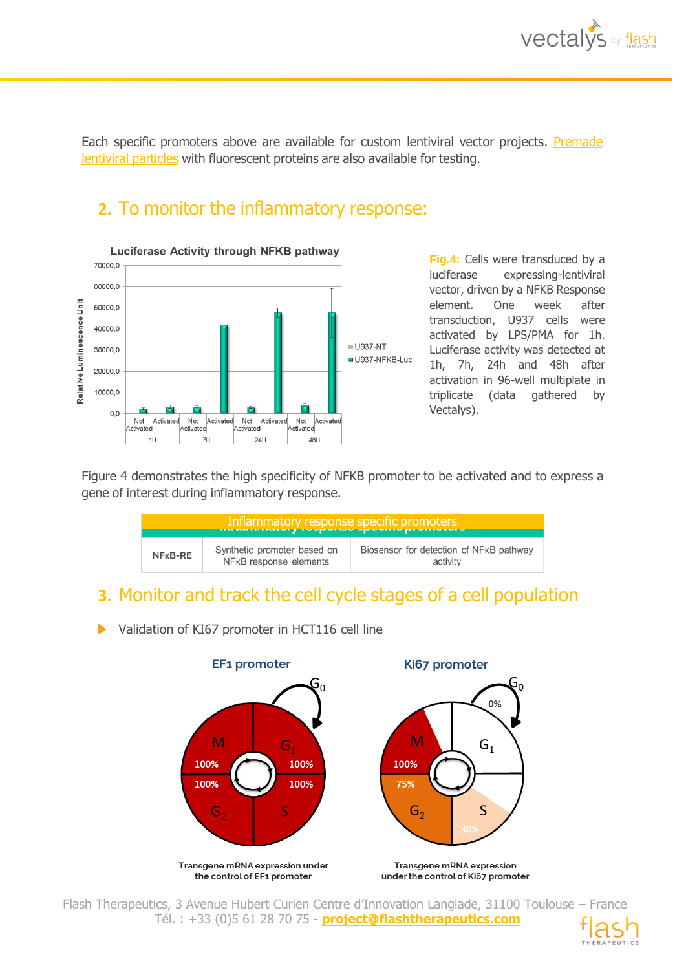Each specific promoters above are available for custom lentiviral vector projects. [Premade](https://www.vectalys.com/web/vectalys/83-specific-promoter.php) [lentiviral](https://www.vectalys.com/web/vectalys/83-specific-promoter.php) particles with fluorescent proteins are also available for testing.

## **2.** To monitor the inflammatory response:



**Fig.4:** Cells were transduced by a luciferase expressing-lentiviral vector, driven by a NFKB Response element. One week after transduction, U937 cells were activated by LPS/PMA for 1h. Luciferase activity was detected at 1h, 7h, 24h and 48h after activation in 96-well multiplate in triplicate (data gathered by Vectalys).

Figure 4 demonstrates the high specificity of NFKB promoter to be activated and to express a gene of interest during inflammatory response.



#### **3.** Monitor and track the cell cycle stages of a cell population

Validation of KI67 promoter in HCT116 cell line



Flash Therapeutics, 3 Avenue Hubert Curien Centre d'Innovation Langlade, 31100 Toulouse – France Tél. : +33 (0)5 61 28 70 75 - **project@flashtherapeutics.com**